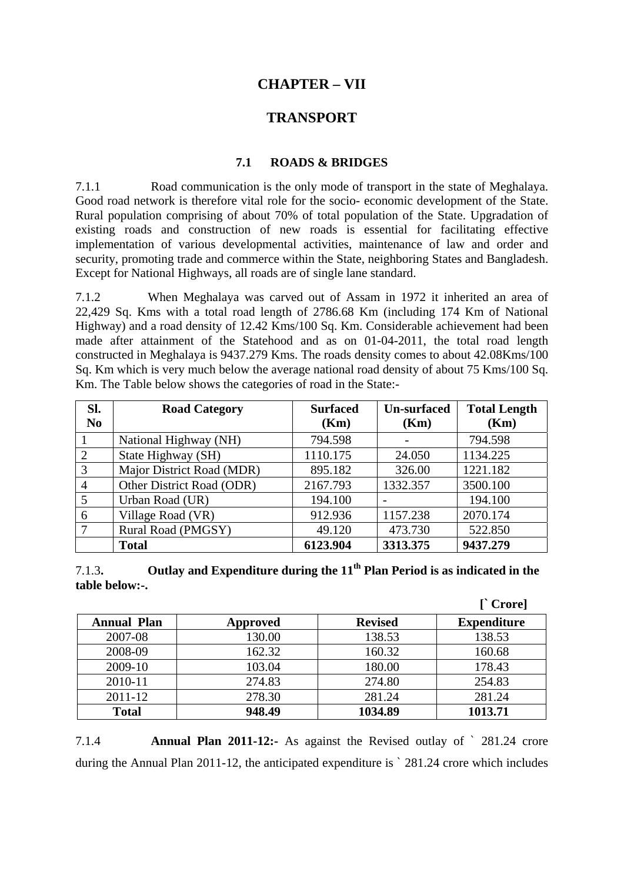# **CHAPTER – VII**

## **TRANSPORT**

### **7.1 ROADS & BRIDGES**

7.1.1 Road communication is the only mode of transport in the state of Meghalaya. Good road network is therefore vital role for the socio- economic development of the State. Rural population comprising of about 70% of total population of the State. Upgradation of existing roads and construction of new roads is essential for facilitating effective implementation of various developmental activities, maintenance of law and order and security, promoting trade and commerce within the State, neighboring States and Bangladesh. Except for National Highways, all roads are of single lane standard.

7.1.2 When Meghalaya was carved out of Assam in 1972 it inherited an area of 22,429 Sq. Kms with a total road length of 2786.68 Km (including 174 Km of National Highway) and a road density of 12.42 Kms/100 Sq. Km. Considerable achievement had been made after attainment of the Statehood and as on 01-04-2011, the total road length constructed in Meghalaya is 9437.279 Kms. The roads density comes to about 42.08Kms/100 Sq. Km which is very much below the average national road density of about 75 Kms/100 Sq. Km. The Table below shows the categories of road in the State:-

| Sl.            | <b>Road Category</b>      | <b>Un-surfaced</b><br><b>Surfaced</b> |          | <b>Total Length</b> |  |
|----------------|---------------------------|---------------------------------------|----------|---------------------|--|
| N <sub>0</sub> |                           | (Km)                                  | (Km)     | (Km)                |  |
|                | National Highway (NH)     | 794.598                               |          | 794.598             |  |
| $\mathfrak{2}$ | State Highway (SH)        | 1110.175                              | 24.050   | 1134.225            |  |
| 3              | Major District Road (MDR) | 895.182                               | 326.00   | 1221.182            |  |
| $\overline{4}$ | Other District Road (ODR) | 2167.793                              | 1332.357 | 3500.100            |  |
| 5              | Urban Road (UR)           | 194.100                               |          | 194.100             |  |
| 6              | Village Road (VR)         | 912.936                               | 1157.238 | 2070.174            |  |
|                | Rural Road (PMGSY)        | 49.120                                | 473.730  | 522.850             |  |
|                | <b>Total</b>              | 6123.904                              | 3313.375 | 9437.279            |  |

7.1.3**. Outlay and Expenditure during the 11th Plan Period is as indicated in the table below:-.** 

|                    |          |                | $\Gamma$ Crore]    |
|--------------------|----------|----------------|--------------------|
| <b>Annual Plan</b> | Approved | <b>Revised</b> | <b>Expenditure</b> |
| 2007-08            | 130.00   | 138.53         | 138.53             |
| 2008-09            | 162.32   | 160.32         | 160.68             |
| 2009-10            | 103.04   | 180.00         | 178.43             |
| 2010-11            | 274.83   | 274.80         | 254.83             |
| $2011 - 12$        | 278.30   | 281.24         | 281.24             |
| <b>Total</b>       | 948.49   | 1034.89        | 1013.71            |

7.1.4 **Annual Plan 2011-12:-** As against the Revised outlay of ` 281.24 crore during the Annual Plan 2011-12, the anticipated expenditure is ` 281.24 crore which includes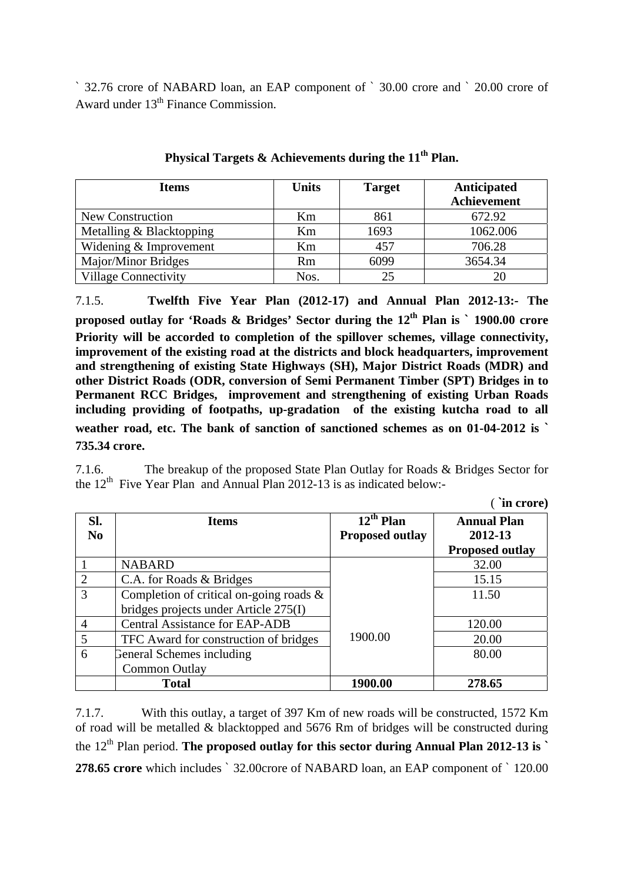` 32.76 crore of NABARD loan, an EAP component of ` 30.00 crore and ` 20.00 crore of Award under 13<sup>th</sup> Finance Commission.

| <b>Items</b>                | <b>Units</b> | <b>Target</b> | Anticipated        |  |  |
|-----------------------------|--------------|---------------|--------------------|--|--|
|                             |              |               | <b>Achievement</b> |  |  |
| New Construction            | Km           | 861           | 672.92             |  |  |
| Metalling & Blacktopping    | Km           | 1693          | 1062.006           |  |  |
| Widening & Improvement      | Km           | 457           | 706.28             |  |  |
| Major/Minor Bridges         | <b>Rm</b>    | 6099          | 3654.34            |  |  |
| <b>Village Connectivity</b> | Nos.         | 25            |                    |  |  |

**Physical Targets & Achievements during the 11th Plan.** 

7.1.5. **Twelfth Five Year Plan (2012-17) and Annual Plan 2012-13:- The proposed outlay for 'Roads & Bridges' Sector during the 12<sup>th</sup> Plan is ` 1900.00 crore Priority will be accorded to completion of the spillover schemes, village connectivity, improvement of the existing road at the districts and block headquarters, improvement and strengthening of existing State Highways (SH), Major District Roads (MDR) and other District Roads (ODR, conversion of Semi Permanent Timber (SPT) Bridges in to Permanent RCC Bridges, improvement and strengthening of existing Urban Roads including providing of footpaths, up-gradation of the existing kutcha road to all weather road, etc. The bank of sanction of sanctioned schemes as on 01-04-2012 is ` 735.34 crore.** 

7.1.6. The breakup of the proposed State Plan Outlay for Roads & Bridges Sector for the  $12<sup>th</sup>$  Five Year Plan and Annual Plan 2012-13 is as indicated below:-

( **`in crore)**

|                             |                                            |                                  | iii crore)             |
|-----------------------------|--------------------------------------------|----------------------------------|------------------------|
| SI.                         | <b>Items</b>                               | $\overline{1}2^{\text{th}}$ Plan | <b>Annual Plan</b>     |
| N <sub>0</sub>              |                                            | <b>Proposed outlay</b>           | 2012-13                |
|                             |                                            |                                  | <b>Proposed outlay</b> |
|                             | <b>NABARD</b>                              |                                  | 32.00                  |
| $\mathcal{D}_{\mathcal{A}}$ | C.A. for Roads & Bridges                   |                                  | 15.15                  |
| 3                           | Completion of critical on-going roads $\&$ |                                  | 11.50                  |
|                             | bridges projects under Article 275(I)      |                                  |                        |
| 4                           | <b>Central Assistance for EAP-ADB</b>      |                                  | 120.00                 |
| 5                           | TFC Award for construction of bridges      | 1900.00                          | 20.00                  |
| 6                           | General Schemes including                  |                                  | 80.00                  |
|                             | Common Outlay                              |                                  |                        |
|                             | <b>Total</b>                               | 1900.00                          | 278.65                 |

7.1.7. With this outlay, a target of 397 Km of new roads will be constructed, 1572 Km of road will be metalled & blacktopped and 5676 Rm of bridges will be constructed during the  $12<sup>th</sup>$  Plan period. The proposed outlay for this sector during Annual Plan 2012-13 is  $\dot{\ }$ **278.65 crore** which includes ` 32.00crore of NABARD loan, an EAP component of ` 120.00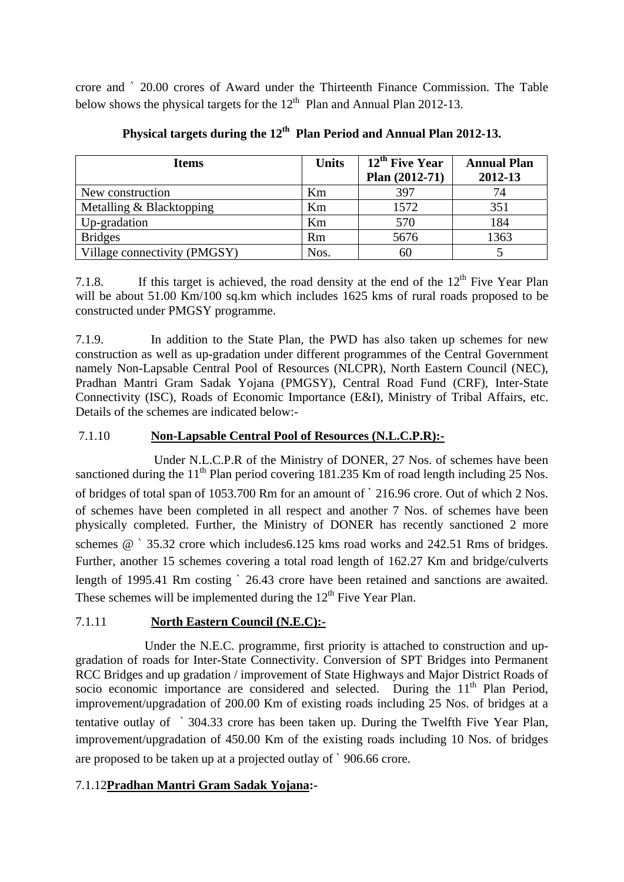crore and ` 20.00 crores of Award under the Thirteenth Finance Commission. The Table below shows the physical targets for the  $12<sup>th</sup>$  Plan and Annual Plan 2012-13.

| <b>Items</b>                 | <b>Units</b> | 12 <sup>th</sup> Five Year<br>Plan $(2012-71)$ | <b>Annual Plan</b><br>2012-13 |
|------------------------------|--------------|------------------------------------------------|-------------------------------|
| New construction             | Km           | 397                                            | 74                            |
| Metalling & Blacktopping     | Km           | 1572                                           | 351                           |
| Up-gradation                 | Km           | 570                                            | 184                           |
| <b>Bridges</b>               | Rm           | 5676                                           | 1363                          |
| Village connectivity (PMGSY) | Nos.         | 60                                             |                               |

Physical targets during the 12<sup>th</sup> Plan Period and Annual Plan 2012-13.

7.1.8. If this target is achieved, the road density at the end of the  $12^{th}$  Five Year Plan will be about 51.00 Km/100 sq.km which includes 1625 kms of rural roads proposed to be constructed under PMGSY programme.

7.1.9. In addition to the State Plan, the PWD has also taken up schemes for new construction as well as up-gradation under different programmes of the Central Government namely Non-Lapsable Central Pool of Resources (NLCPR), North Eastern Council (NEC), Pradhan Mantri Gram Sadak Yojana (PMGSY), Central Road Fund (CRF), Inter-State Connectivity (ISC), Roads of Economic Importance (E&I), Ministry of Tribal Affairs, etc. Details of the schemes are indicated below:-

# 7.1.10 **Non-Lapsable Central Pool of Resources (N.L.C.P.R):-**

 Under N.L.C.P.R of the Ministry of DONER, 27 Nos. of schemes have been sanctioned during the  $11<sup>th</sup>$  Plan period covering 181.235 Km of road length including 25 Nos. of bridges of total span of 1053.700 Rm for an amount of ` 216.96 crore. Out of which 2 Nos. of schemes have been completed in all respect and another 7 Nos. of schemes have been physically completed. Further, the Ministry of DONER has recently sanctioned 2 more schemes @ ` 35.32 crore which includes6.125 kms road works and 242.51 Rms of bridges. Further, another 15 schemes covering a total road length of 162.27 Km and bridge/culverts length of 1995.41 Rm costing ` 26.43 crore have been retained and sanctions are awaited. These schemes will be implemented during the  $12<sup>th</sup>$  Five Year Plan.

## 7.1.11 **North Eastern Council (N.E.C):-**

 Under the N.E.C. programme, first priority is attached to construction and upgradation of roads for Inter-State Connectivity. Conversion of SPT Bridges into Permanent RCC Bridges and up gradation / improvement of State Highways and Major District Roads of socio economic importance are considered and selected. During the  $11<sup>th</sup>$  Plan Period, improvement/upgradation of 200.00 Km of existing roads including 25 Nos. of bridges at a tentative outlay of ` 304.33 crore has been taken up. During the Twelfth Five Year Plan, improvement/upgradation of 450.00 Km of the existing roads including 10 Nos. of bridges are proposed to be taken up at a projected outlay of ` 906.66 crore.

## 7.1.12**Pradhan Mantri Gram Sadak Yojana:-**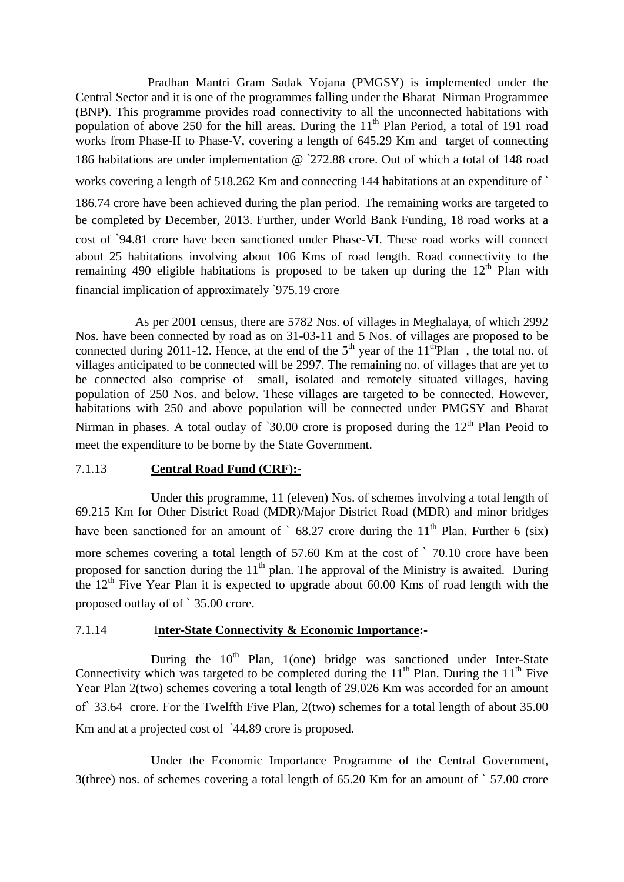Pradhan Mantri Gram Sadak Yojana (PMGSY) is implemented under the Central Sector and it is one of the programmes falling under the Bharat Nirman Programmee (BNP). This programme provides road connectivity to all the unconnected habitations with population of above 250 for the hill areas. During the  $11<sup>th</sup>$  Plan Period, a total of 191 road works from Phase-II to Phase-V, covering a length of 645.29 Km and target of connecting 186 habitations are under implementation @ `272.88 crore. Out of which a total of 148 road works covering a length of 518.262 Km and connecting 144 habitations at an expenditure of ` 186.74 crore have been achieved during the plan period. The remaining works are targeted to be completed by December, 2013. Further, under World Bank Funding, 18 road works at a cost of `94.81 crore have been sanctioned under Phase-VI. These road works will connect about 25 habitations involving about 106 Kms of road length. Road connectivity to the remaining 490 eligible habitations is proposed to be taken up during the  $12<sup>th</sup>$  Plan with financial implication of approximately `975.19 crore

 As per 2001 census, there are 5782 Nos. of villages in Meghalaya, of which 2992 Nos. have been connected by road as on 31-03-11 and 5 Nos. of villages are proposed to be connected during 2011-12. Hence, at the end of the  $5<sup>th</sup>$  year of the 11<sup>th</sup>Plan, the total no. of villages anticipated to be connected will be 2997. The remaining no. of villages that are yet to be connected also comprise of small, isolated and remotely situated villages, having population of 250 Nos. and below. These villages are targeted to be connected. However, habitations with 250 and above population will be connected under PMGSY and Bharat Nirman in phases. A total outlay of  $30.00$  crore is proposed during the 12<sup>th</sup> Plan Peoid to meet the expenditure to be borne by the State Government.

#### 7.1.13 **Central Road Fund (CRF):-**

 Under this programme, 11 (eleven) Nos. of schemes involving a total length of 69.215 Km for Other District Road (MDR)/Major District Road (MDR) and minor bridges have been sanctioned for an amount of  $\degree$  68.27 crore during the 11<sup>th</sup> Plan. Further 6 (six) more schemes covering a total length of 57.60 Km at the cost of ` 70.10 crore have been proposed for sanction during the  $11<sup>th</sup>$  plan. The approval of the Ministry is awaited. During the  $12<sup>th</sup>$  Five Year Plan it is expected to upgrade about 60.00 Kms of road length with the proposed outlay of of ` 35.00 crore.

## 7.1.14 I**nter-State Connectivity & Economic Importance:-**

During the  $10^{th}$  Plan, 1(one) bridge was sanctioned under Inter-State Connectivity which was targeted to be completed during the  $11<sup>th</sup>$  Plan. During the  $11<sup>th</sup>$  Five Year Plan 2(two) schemes covering a total length of 29.026 Km was accorded for an amount of` 33.64 crore. For the Twelfth Five Plan, 2(two) schemes for a total length of about 35.00 Km and at a projected cost of `44.89 crore is proposed.

 Under the Economic Importance Programme of the Central Government, 3(three) nos. of schemes covering a total length of 65.20 Km for an amount of ` 57.00 crore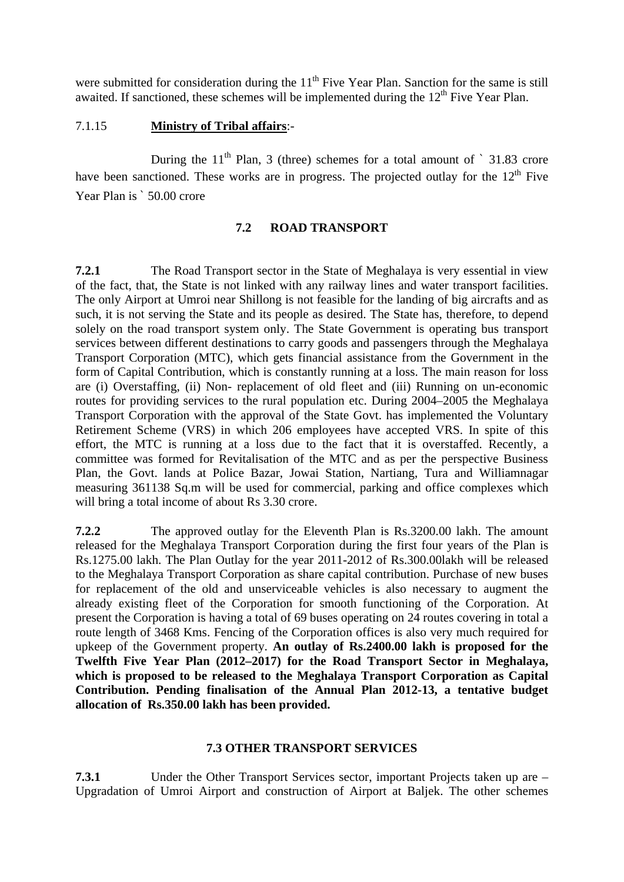were submitted for consideration during the  $11<sup>th</sup>$  Five Year Plan. Sanction for the same is still awaited. If sanctioned, these schemes will be implemented during the  $12<sup>th</sup>$  Five Year Plan.

#### 7.1.15 **Ministry of Tribal affairs**:-

During the  $11<sup>th</sup>$  Plan, 3 (three) schemes for a total amount of  $\degree$  31.83 crore have been sanctioned. These works are in progress. The projected outlay for the  $12<sup>th</sup>$  Five Year Plan is  $\degree$  50.00 crore

### **7.2 ROAD TRANSPORT**

**7.2.1** The Road Transport sector in the State of Meghalaya is very essential in view of the fact, that, the State is not linked with any railway lines and water transport facilities. The only Airport at Umroi near Shillong is not feasible for the landing of big aircrafts and as such, it is not serving the State and its people as desired. The State has, therefore, to depend solely on the road transport system only. The State Government is operating bus transport services between different destinations to carry goods and passengers through the Meghalaya Transport Corporation (MTC), which gets financial assistance from the Government in the form of Capital Contribution, which is constantly running at a loss. The main reason for loss are (i) Overstaffing, (ii) Non- replacement of old fleet and (iii) Running on un-economic routes for providing services to the rural population etc. During 2004–2005 the Meghalaya Transport Corporation with the approval of the State Govt. has implemented the Voluntary Retirement Scheme (VRS) in which 206 employees have accepted VRS. In spite of this effort, the MTC is running at a loss due to the fact that it is overstaffed. Recently, a committee was formed for Revitalisation of the MTC and as per the perspective Business Plan, the Govt. lands at Police Bazar, Jowai Station, Nartiang, Tura and Williamnagar measuring 361138 Sq.m will be used for commercial, parking and office complexes which will bring a total income of about Rs 3.30 crore.

**7.2.2** The approved outlay for the Eleventh Plan is Rs.3200.00 lakh. The amount released for the Meghalaya Transport Corporation during the first four years of the Plan is Rs.1275.00 lakh. The Plan Outlay for the year 2011-2012 of Rs.300.00lakh will be released to the Meghalaya Transport Corporation as share capital contribution. Purchase of new buses for replacement of the old and unserviceable vehicles is also necessary to augment the already existing fleet of the Corporation for smooth functioning of the Corporation. At present the Corporation is having a total of 69 buses operating on 24 routes covering in total a route length of 3468 Kms. Fencing of the Corporation offices is also very much required for upkeep of the Government property. **An outlay of Rs.2400.00 lakh is proposed for the Twelfth Five Year Plan (2012–2017) for the Road Transport Sector in Meghalaya, which is proposed to be released to the Meghalaya Transport Corporation as Capital Contribution. Pending finalisation of the Annual Plan 2012-13, a tentative budget allocation of Rs.350.00 lakh has been provided.** 

#### **7.3 OTHER TRANSPORT SERVICES**

**7.3.1** Under the Other Transport Services sector, important Projects taken up are – Upgradation of Umroi Airport and construction of Airport at Baljek. The other schemes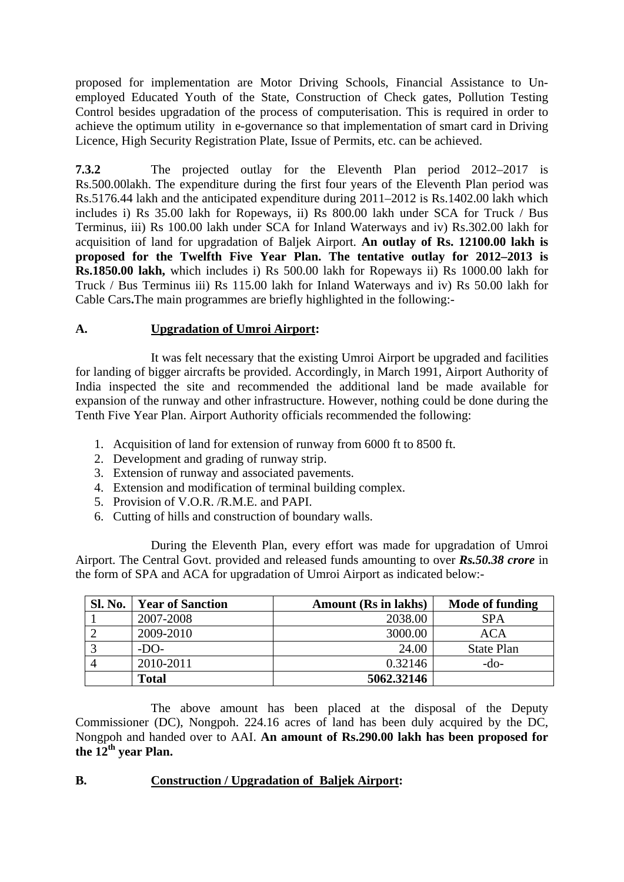proposed for implementation are Motor Driving Schools, Financial Assistance to Unemployed Educated Youth of the State, Construction of Check gates, Pollution Testing Control besides upgradation of the process of computerisation. This is required in order to achieve the optimum utility in e-governance so that implementation of smart card in Driving Licence, High Security Registration Plate, Issue of Permits, etc. can be achieved.

**7.3.2** The projected outlay for the Eleventh Plan period 2012–2017 is Rs.500.00lakh. The expenditure during the first four years of the Eleventh Plan period was Rs.5176.44 lakh and the anticipated expenditure during 2011–2012 is Rs.1402.00 lakh which includes i) Rs 35.00 lakh for Ropeways, ii) Rs 800.00 lakh under SCA for Truck / Bus Terminus, iii) Rs 100.00 lakh under SCA for Inland Waterways and iv) Rs.302.00 lakh for acquisition of land for upgradation of Baljek Airport. **An outlay of Rs. 12100.00 lakh is proposed for the Twelfth Five Year Plan. The tentative outlay for 2012–2013 is Rs.1850.00 lakh,** which includes i) Rs 500.00 lakh for Ropeways ii) Rs 1000.00 lakh for Truck / Bus Terminus iii) Rs 115.00 lakh for Inland Waterways and iv) Rs 50.00 lakh for Cable Cars**.**The main programmes are briefly highlighted in the following:-

## **A. Upgradation of Umroi Airport:**

It was felt necessary that the existing Umroi Airport be upgraded and facilities for landing of bigger aircrafts be provided. Accordingly, in March 1991, Airport Authority of India inspected the site and recommended the additional land be made available for expansion of the runway and other infrastructure. However, nothing could be done during the Tenth Five Year Plan. Airport Authority officials recommended the following:

- 1. Acquisition of land for extension of runway from 6000 ft to 8500 ft.
- 2. Development and grading of runway strip.
- 3. Extension of runway and associated pavements.
- 4. Extension and modification of terminal building complex.
- 5. Provision of V.O.R. /R.M.E. and PAPI.
- 6. Cutting of hills and construction of boundary walls.

During the Eleventh Plan, every effort was made for upgradation of Umroi Airport. The Central Govt. provided and released funds amounting to over *Rs.50.38 crore* in the form of SPA and ACA for upgradation of Umroi Airport as indicated below:-

| <b>Sl. No.</b> | Vear of Sanction | <b>Amount (Rs in lakhs)</b> | <b>Mode of funding</b> |
|----------------|------------------|-----------------------------|------------------------|
|                | 2007-2008        | 2038.00                     | <b>SPA</b>             |
|                | 2009-2010        | 3000.00                     | <b>ACA</b>             |
|                | $-DO-$           | 24.00                       | <b>State Plan</b>      |
|                | 2010-2011        | 0.32146                     | -do-                   |
|                | <b>Total</b>     | 5062.32146                  |                        |

The above amount has been placed at the disposal of the Deputy Commissioner (DC), Nongpoh. 224.16 acres of land has been duly acquired by the DC, Nongpoh and handed over to AAI. **An amount of Rs.290.00 lakh has been proposed for**  the 12<sup>th</sup> year Plan.

## **B. Construction / Upgradation of Baljek Airport:**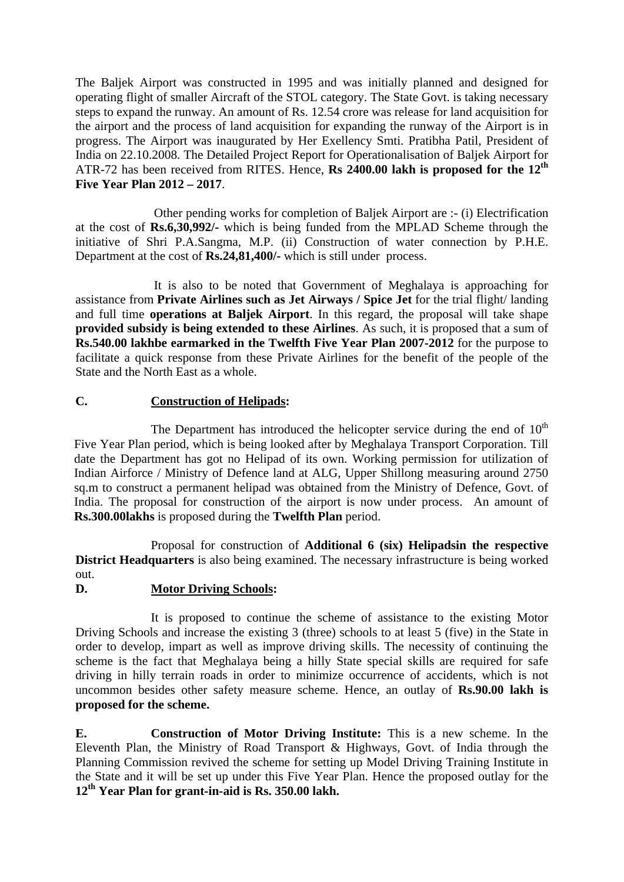The Baljek Airport was constructed in 1995 and was initially planned and designed for operating flight of smaller Aircraft of the STOL category. The State Govt. is taking necessary steps to expand the runway. An amount of Rs. 12.54 crore was release for land acquisition for the airport and the process of land acquisition for expanding the runway of the Airport is in progress. The Airport was inaugurated by Her Exellency Smti. Pratibha Patil, President of India on 22.10.2008. The Detailed Project Report for Operationalisation of Baljek Airport for ATR-72 has been received from RITES. Hence, **Rs 2400.00 lakh is proposed for the 12th Five Year Plan 2012 – 2017**.

 Other pending works for completion of Baljek Airport are :- (i) Electrification at the cost of **Rs.6,30,992/-** which is being funded from the MPLAD Scheme through the initiative of Shri P.A.Sangma, M.P. (ii) Construction of water connection by P.H.E. Department at the cost of **Rs.24,81,400/-** which is still under process.

 It is also to be noted that Government of Meghalaya is approaching for assistance from **Private Airlines such as Jet Airways / Spice Jet** for the trial flight/ landing and full time **operations at Baljek Airport**. In this regard, the proposal will take shape **provided subsidy is being extended to these Airlines**. As such, it is proposed that a sum of **Rs.540.00 lakhbe earmarked in the Twelfth Five Year Plan 2007-2012** for the purpose to facilitate a quick response from these Private Airlines for the benefit of the people of the State and the North East as a whole.

## **C. Construction of Helipads:**

The Department has introduced the helicopter service during the end of  $10<sup>th</sup>$ Five Year Plan period, which is being looked after by Meghalaya Transport Corporation. Till date the Department has got no Helipad of its own. Working permission for utilization of Indian Airforce / Ministry of Defence land at ALG, Upper Shillong measuring around 2750 sq.m to construct a permanent helipad was obtained from the Ministry of Defence, Govt. of India. The proposal for construction of the airport is now under process. An amount of **Rs.300.00lakhs** is proposed during the **Twelfth Plan** period.

Proposal for construction of **Additional 6 (six) Helipadsin the respective District Headquarters** is also being examined. The necessary infrastructure is being worked out.

## **D. Motor Driving Schools:**

It is proposed to continue the scheme of assistance to the existing Motor Driving Schools and increase the existing 3 (three) schools to at least 5 (five) in the State in order to develop, impart as well as improve driving skills. The necessity of continuing the scheme is the fact that Meghalaya being a hilly State special skills are required for safe driving in hilly terrain roads in order to minimize occurrence of accidents, which is not uncommon besides other safety measure scheme. Hence, an outlay of **Rs.90.00 lakh is proposed for the scheme.** 

**E. Construction of Motor Driving Institute:** This is a new scheme. In the Eleventh Plan, the Ministry of Road Transport & Highways, Govt. of India through the Planning Commission revived the scheme for setting up Model Driving Training Institute in the State and it will be set up under this Five Year Plan. Hence the proposed outlay for the **12th Year Plan for grant-in-aid is Rs. 350.00 lakh.**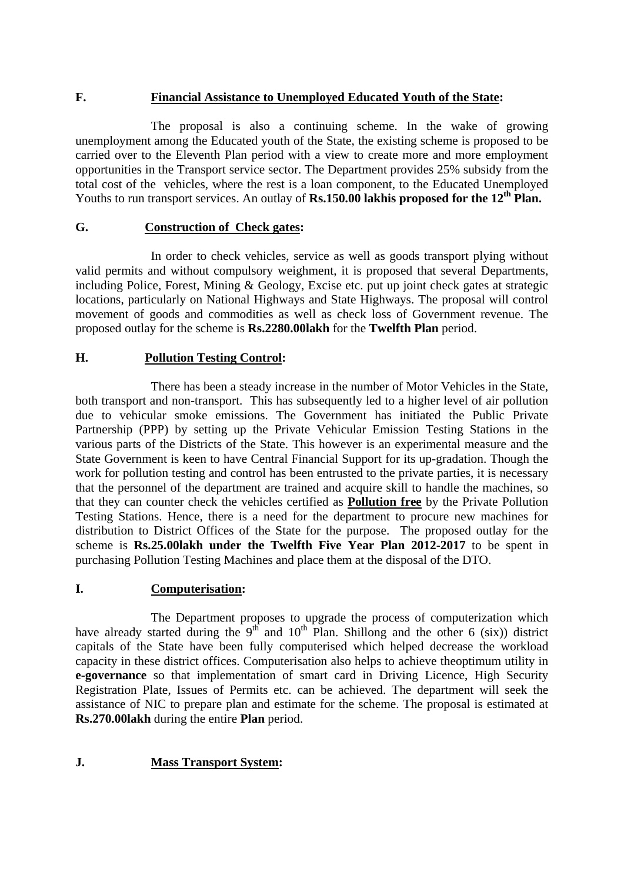#### **F. Financial Assistance to Unemployed Educated Youth of the State:**

The proposal is also a continuing scheme. In the wake of growing unemployment among the Educated youth of the State, the existing scheme is proposed to be carried over to the Eleventh Plan period with a view to create more and more employment opportunities in the Transport service sector. The Department provides 25% subsidy from the total cost of the vehicles, where the rest is a loan component, to the Educated Unemployed Youths to run transport services. An outlay of **Rs.150.00 lakhis proposed for the 12<sup>th</sup> Plan.** 

### **G. Construction of Check gates:**

In order to check vehicles, service as well as goods transport plying without valid permits and without compulsory weighment, it is proposed that several Departments, including Police, Forest, Mining & Geology, Excise etc. put up joint check gates at strategic locations, particularly on National Highways and State Highways. The proposal will control movement of goods and commodities as well as check loss of Government revenue. The proposed outlay for the scheme is **Rs.2280.00lakh** for the **Twelfth Plan** period.

### **H. Pollution Testing Control:**

 There has been a steady increase in the number of Motor Vehicles in the State, both transport and non-transport. This has subsequently led to a higher level of air pollution due to vehicular smoke emissions. The Government has initiated the Public Private Partnership (PPP) by setting up the Private Vehicular Emission Testing Stations in the various parts of the Districts of the State. This however is an experimental measure and the State Government is keen to have Central Financial Support for its up-gradation. Though the work for pollution testing and control has been entrusted to the private parties, it is necessary that the personnel of the department are trained and acquire skill to handle the machines, so that they can counter check the vehicles certified as **Pollution free** by the Private Pollution Testing Stations. Hence, there is a need for the department to procure new machines for distribution to District Offices of the State for the purpose. The proposed outlay for the scheme is **Rs.25.00lakh under the Twelfth Five Year Plan 2012-2017** to be spent in purchasing Pollution Testing Machines and place them at the disposal of the DTO.

#### **I. Computerisation:**

 The Department proposes to upgrade the process of computerization which have already started during the  $9<sup>th</sup>$  and  $10<sup>th</sup>$  Plan. Shillong and the other 6 (six)) district capitals of the State have been fully computerised which helped decrease the workload capacity in these district offices. Computerisation also helps to achieve theoptimum utility in **e-governance** so that implementation of smart card in Driving Licence, High Security Registration Plate, Issues of Permits etc. can be achieved. The department will seek the assistance of NIC to prepare plan and estimate for the scheme. The proposal is estimated at **Rs.270.00lakh** during the entire **Plan** period.

## **J. Mass Transport System:**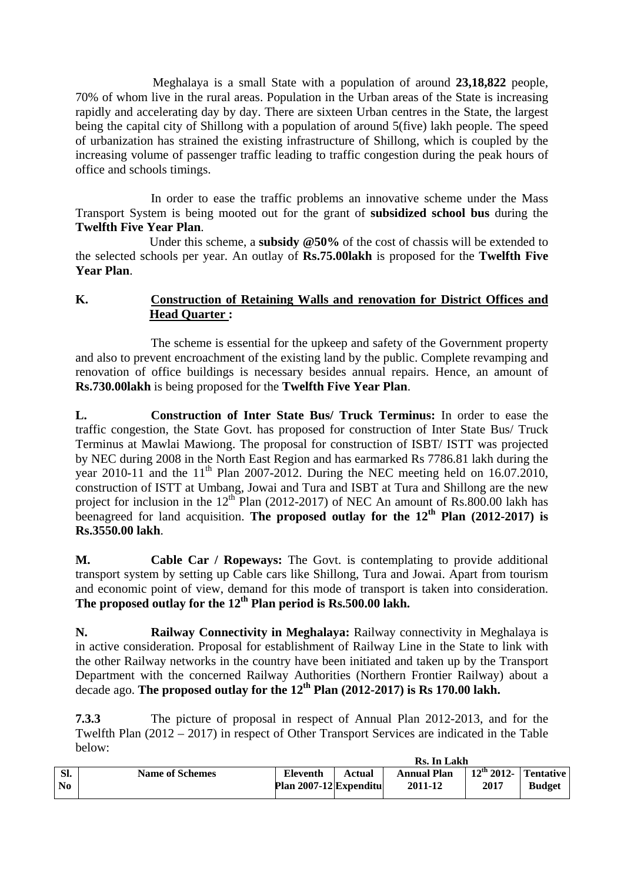Meghalaya is a small State with a population of around **23,18,822** people, 70% of whom live in the rural areas. Population in the Urban areas of the State is increasing rapidly and accelerating day by day. There are sixteen Urban centres in the State, the largest being the capital city of Shillong with a population of around 5(five) lakh people. The speed of urbanization has strained the existing infrastructure of Shillong, which is coupled by the increasing volume of passenger traffic leading to traffic congestion during the peak hours of office and schools timings.

In order to ease the traffic problems an innovative scheme under the Mass Transport System is being mooted out for the grant of **subsidized school bus** during the **Twelfth Five Year Plan**.

Under this scheme, a **subsidy @50%** of the cost of chassis will be extended to the selected schools per year. An outlay of **Rs.75.00lakh** is proposed for the **Twelfth Five Year Plan**.

## **K. Construction of Retaining Walls and renovation for District Offices and Head Quarter :**

The scheme is essential for the upkeep and safety of the Government property and also to prevent encroachment of the existing land by the public. Complete revamping and renovation of office buildings is necessary besides annual repairs. Hence, an amount of **Rs.730.00lakh** is being proposed for the **Twelfth Five Year Plan**.

**L. Construction of Inter State Bus/ Truck Terminus:** In order to ease the traffic congestion, the State Govt. has proposed for construction of Inter State Bus/ Truck Terminus at Mawlai Mawiong. The proposal for construction of ISBT/ ISTT was projected by NEC during 2008 in the North East Region and has earmarked Rs 7786.81 lakh during the year 2010-11 and the  $11<sup>th</sup>$  Plan 2007-2012. During the NEC meeting held on 16.07.2010, construction of ISTT at Umbang, Jowai and Tura and ISBT at Tura and Shillong are the new project for inclusion in the  $12<sup>th</sup>$  Plan (2012-2017) of NEC An amount of Rs.800.00 lakh has beenagreed for land acquisition. **The proposed outlay for the 12<sup>th</sup> Plan (2012-2017) is Rs.3550.00 lakh**.

**M. Cable Car / Ropeways:** The Govt. is contemplating to provide additional transport system by setting up Cable cars like Shillong, Tura and Jowai. Apart from tourism and economic point of view, demand for this mode of transport is taken into consideration. The proposed outlay for the 12<sup>th</sup> Plan period is Rs.500.00 lakh.

**N. Railway Connectivity in Meghalaya:** Railway connectivity in Meghalaya is in active consideration. Proposal for establishment of Railway Line in the State to link with the other Railway networks in the country have been initiated and taken up by the Transport Department with the concerned Railway Authorities (Northern Frontier Railway) about a decade ago. **The proposed outlay for the 12th Plan (2012-2017) is Rs 170.00 lakh.** 

**7.3.3** The picture of proposal in respect of Annual Plan 2012-2013, and for the Twelfth Plan (2012 – 2017) in respect of Other Transport Services are indicated in the Table below:

|           |                        | Rs. In Lakh                               |        |                               |                                |               |
|-----------|------------------------|-------------------------------------------|--------|-------------------------------|--------------------------------|---------------|
| SI.<br>No | <b>Name of Schemes</b> | <b>Eleventh</b><br>Plan 2007-12 Expenditu | Actual | <b>Annual Plan</b><br>2011-12 | $12th$ 2012- Tentative<br>2017 | <b>Budget</b> |